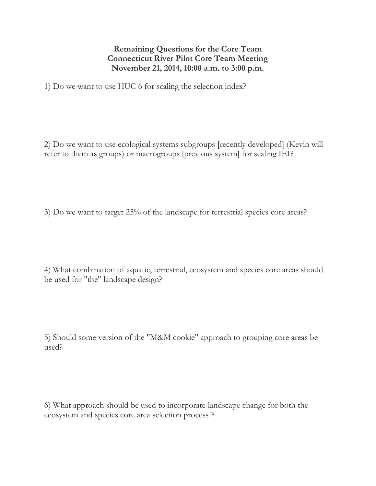## **Remaining Questions for the Core Team Connecticut River Pilot Core Team Meeting November 21, 2014, 10:00 a.m. to 3:00 p.m.**

1) Do we want to use HUC 6 for scaling the selection index?

2) Do we want to use ecological systems subgroups [recently developed] (Kevin will refer to them as groups) or macrogroups [previous system] for scaling IEI?

3) Do we want to target 25% of the landscape for terrestrial species core areas?

4) What combination of aquatic, terrestrial, ecosystem and species core areas should be used for "the" landscape design?

5) Should some version of the "M&M cookie" approach to grouping core areas be used?

6) What approach should be used to incorporate landscape change for both the ecosystem and species core area selection process ?